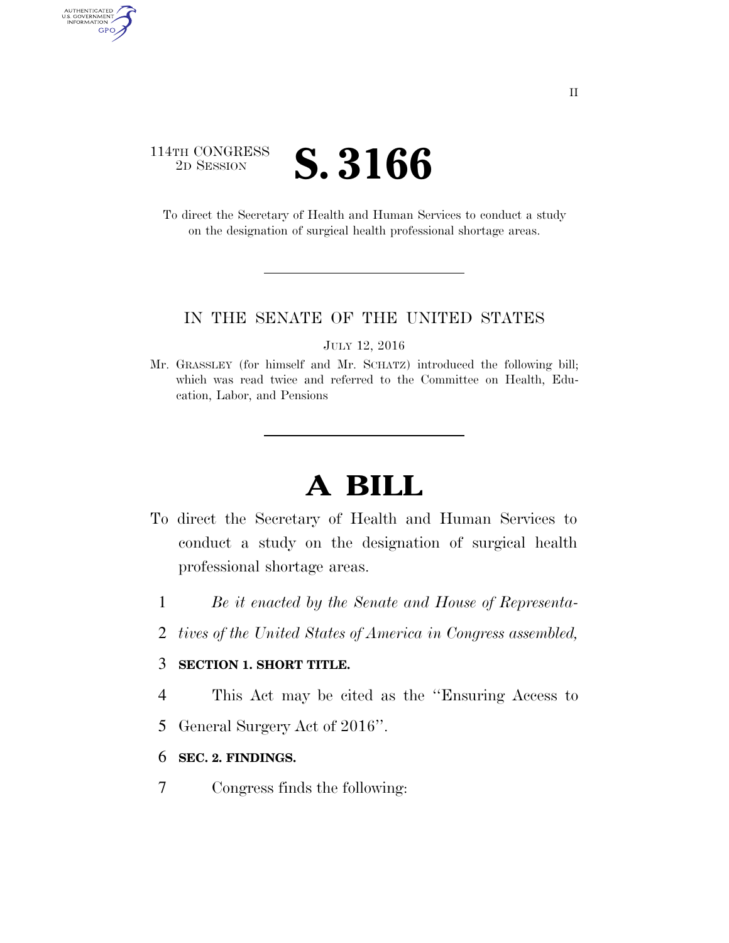# 114TH CONGRESS <sup>2D SESSION</sup> **S. 3166**

AUTHENTICATED<br>U.S. GOVERNMENT<br>INFORMATION GPO

> To direct the Secretary of Health and Human Services to conduct a study on the designation of surgical health professional shortage areas.

### IN THE SENATE OF THE UNITED STATES

JULY 12, 2016

Mr. GRASSLEY (for himself and Mr. SCHATZ) introduced the following bill; which was read twice and referred to the Committee on Health, Education, Labor, and Pensions

# **A BILL**

- To direct the Secretary of Health and Human Services to conduct a study on the designation of surgical health professional shortage areas.
	- 1 *Be it enacted by the Senate and House of Representa-*
	- 2 *tives of the United States of America in Congress assembled,*

## 3 **SECTION 1. SHORT TITLE.**

4 This Act may be cited as the ''Ensuring Access to

5 General Surgery Act of 2016''.

### 6 **SEC. 2. FINDINGS.**

7 Congress finds the following: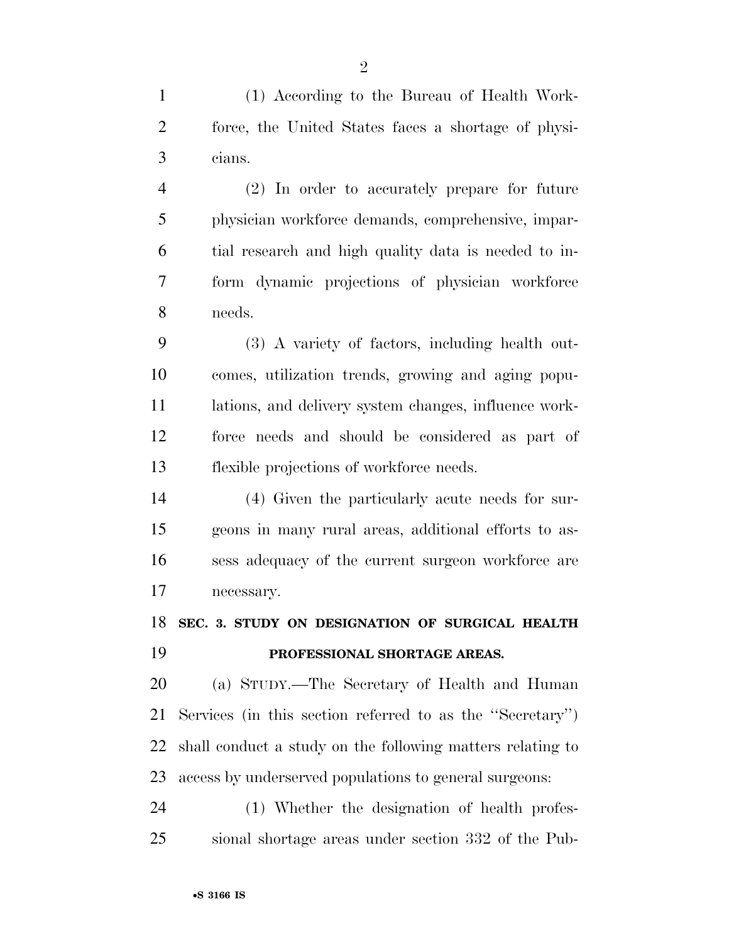(1) According to the Bureau of Health Work- force, the United States faces a shortage of physi-cians.

 (2) In order to accurately prepare for future physician workforce demands, comprehensive, impar- tial research and high quality data is needed to in- form dynamic projections of physician workforce needs.

 (3) A variety of factors, including health out- comes, utilization trends, growing and aging popu- lations, and delivery system changes, influence work- force needs and should be considered as part of flexible projections of workforce needs.

 (4) Given the particularly acute needs for sur- geons in many rural areas, additional efforts to as- sess adequacy of the current surgeon workforce are necessary.

 **SEC. 3. STUDY ON DESIGNATION OF SURGICAL HEALTH PROFESSIONAL SHORTAGE AREAS.** 

 (a) STUDY.—The Secretary of Health and Human Services (in this section referred to as the ''Secretary'') shall conduct a study on the following matters relating to access by underserved populations to general surgeons:

 (1) Whether the designation of health profes-sional shortage areas under section 332 of the Pub-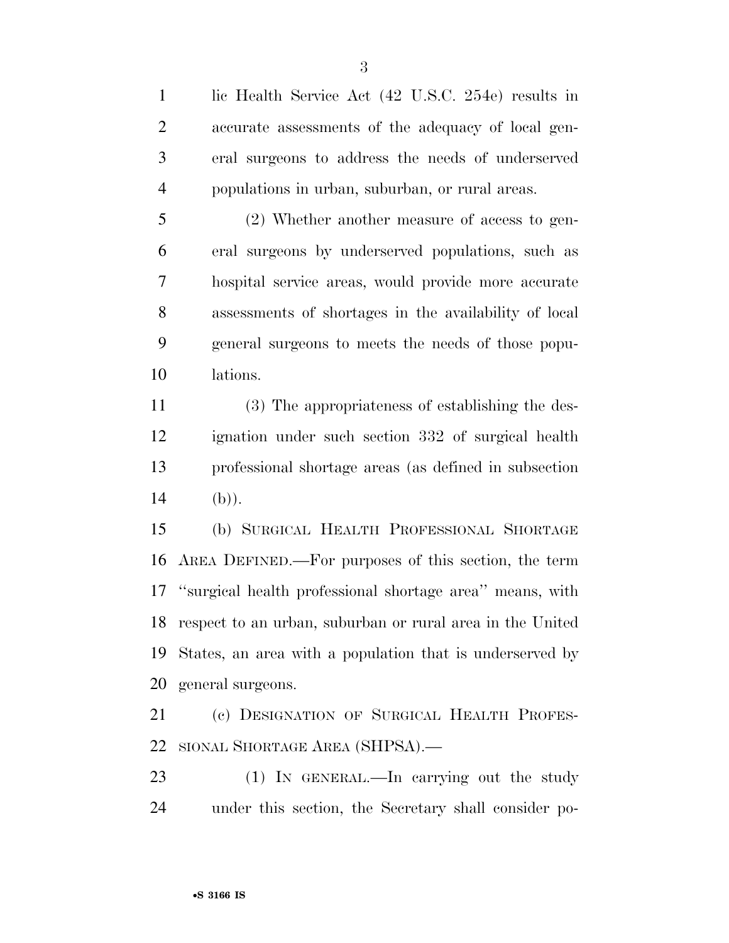lic Health Service Act (42 U.S.C. 254e) results in accurate assessments of the adequacy of local gen- eral surgeons to address the needs of underserved populations in urban, suburban, or rural areas.

 (2) Whether another measure of access to gen- eral surgeons by underserved populations, such as hospital service areas, would provide more accurate assessments of shortages in the availability of local general surgeons to meets the needs of those popu-lations.

 (3) The appropriateness of establishing the des- ignation under such section 332 of surgical health professional shortage areas (as defined in subsection 14 (b)).

 (b) SURGICAL HEALTH PROFESSIONAL SHORTAGE AREA DEFINED.—For purposes of this section, the term ''surgical health professional shortage area'' means, with respect to an urban, suburban or rural area in the United States, an area with a population that is underserved by general surgeons.

 (c) DESIGNATION OF SURGICAL HEALTH PROFES-SIONAL SHORTAGE AREA (SHPSA).—

 (1) IN GENERAL.—In carrying out the study under this section, the Secretary shall consider po-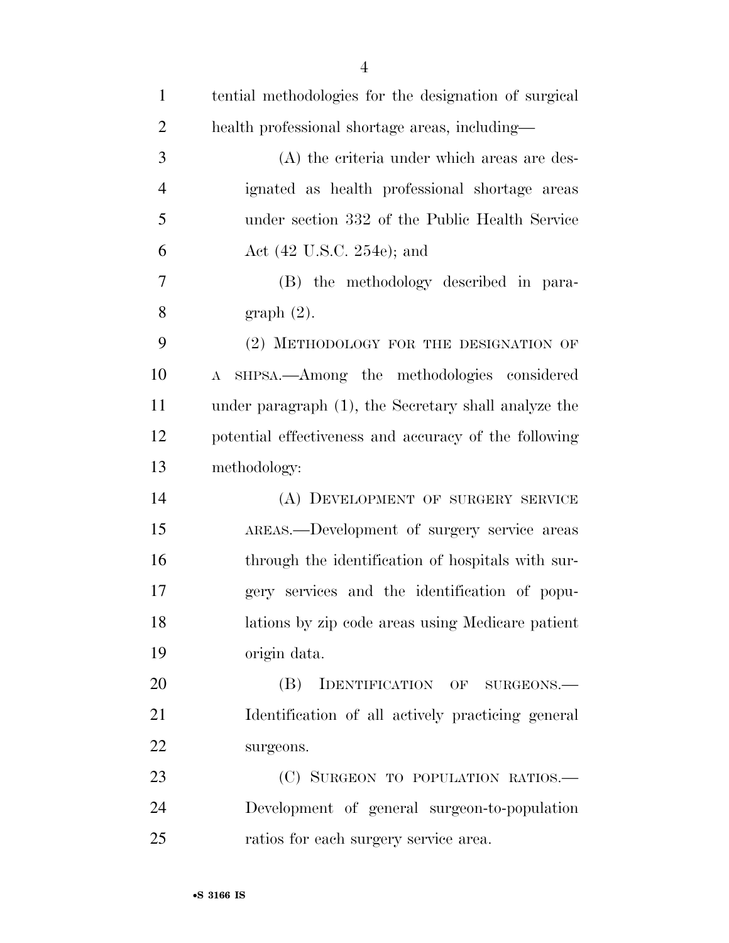| $\mathbf{1}$   | tential methodologies for the designation of surgical |
|----------------|-------------------------------------------------------|
| $\overline{2}$ | health professional shortage areas, including—        |
| 3              | (A) the criteria under which areas are des-           |
| $\overline{4}$ | ignated as health professional shortage areas         |
| 5              | under section 332 of the Public Health Service        |
| 6              | Act $(42 \text{ U.S.C. } 254\text{e})$ ; and          |
| 7              | (B) the methodology described in para-                |
| 8              | graph(2).                                             |
| 9              | (2) METHODOLOGY FOR THE DESIGNATION OF                |
| 10             | SHPSA.—Among the methodologies considered<br>$\bf{A}$ |
| 11             | under paragraph (1), the Secretary shall analyze the  |
| 12             | potential effectiveness and accuracy of the following |
| 13             | methodology:                                          |
| 14             | (A) DEVELOPMENT OF SURGERY SERVICE                    |
| 15             | AREAS.—Development of surgery service areas           |
| 16             | through the identification of hospitals with sur-     |
| 17             | gery services and the identification of popu-         |
| 18             | lations by zip code areas using Medicare patient      |
| 19             | origin data.                                          |
| 20             | IDENTIFICATION OF SURGEONS.<br>(B)                    |
| 21             | Identification of all actively practicing general     |
| 22             | surgeons.                                             |
| 23             | (C) SURGEON TO POPULATION RATIOS.-                    |
| 24             | Development of general surgeon-to-population          |
| 25             | ratios for each surgery service area.                 |